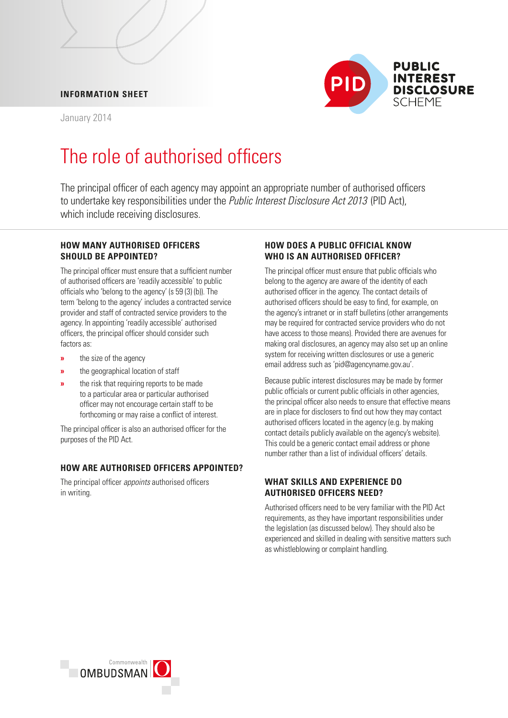# **INFORMATION SHEET**

January 2014



# The role of authorised officers

 The principal officer of each agency may appoint an appropriate number of authorised officers to undertake key responsibilities under the *Public Interest Disclosure Act 2013* (PID Act), which include receiving disclosures.

#### **HOW MANY AUTHORISED OFFICERS SHOULD BE APPOINTED?**

 The principal officer must ensure that a sufficient number of authorised officers are 'readily accessible' to public officials who 'belong to the agency' (s 59 (3) (b)). The term 'belong to the agency' includes a contracted service provider and staff of contracted service providers to the agency. In appointing 'readily accessible' authorised officers, the principal officer should consider such factors as:

- **»** the size of the agency
- **»** the geographical location of staff
- forthcoming or may raise a conflict of interest. **»** the risk that requiring reports to be made to a particular area or particular authorised officer may not encourage certain staff to be

 The principal officer is also an authorised officer for the purposes of the PID Act.

# **HOW ARE AUTHORISED OFFICERS APPOINTED?**

The principal officer *appoints* authorised officers in writing.

# **HOW DOES A PUBLIC OFFICIAL KNOW WHO IS AN AUTHORISED OFFICER?**

 The principal officer must ensure that public officials who belong to the agency are aware of the identity of each authorised officer in the agency. The contact details of authorised officers should be easy to find, for example, on the agency's intranet or in staff bulletins (other arrangements may be required for contracted service providers who do not have access to those means). Provided there are avenues for making oral disclosures, an agency may also set up an online system for receiving written disclosures or use a generic email address such as 'pid@agencyname.gov.au'.

Because public interest disclosures may be made by former public officials or current public officials in other agencies, the principal officer also needs to ensure that effective means are in place for disclosers to find out how they may contact authorised officers located in the agency (e.g. by making contact details publicly available on the agency's website). This could be a generic contact email address or phone number rather than a list of individual officers' details.

# **WHAT SKILLS AND EXPERIENCE DO AUTHORISED OFFICERS NEED?**

Authorised officers need to be very familiar with the PID Act requirements, as they have important responsibilities under the legislation (as discussed below). They should also be experienced and skilled in dealing with sensitive matters such as whistleblowing or complaint handling.